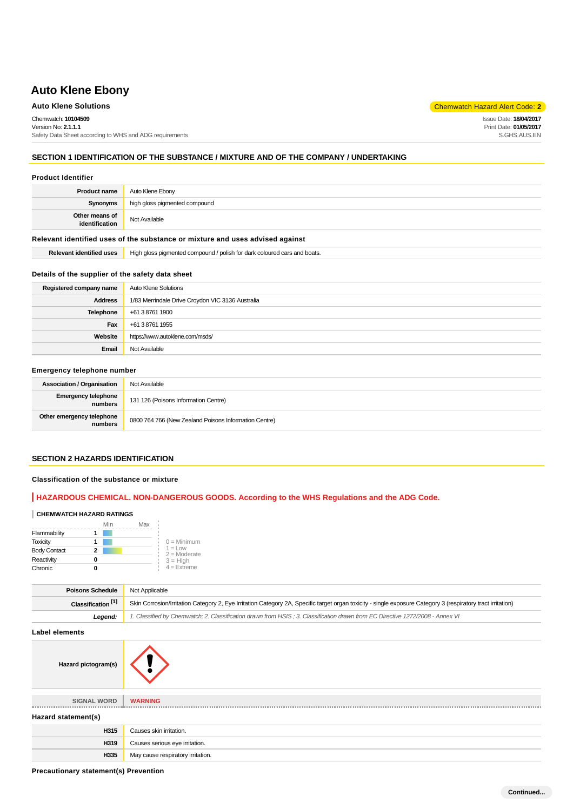# **Auto Klene Solutions** Chemwatch Hazard Alert Code: **2**

Chemwatch: **10104509** Version No: **2.1.1.1** Safety Data Sheet according to WHS and ADG requirements Issue Date: **18/04/2017** Print Date: **01/05/2017** S.GHS.AUS.EN

# **SECTION 1 IDENTIFICATION OF THE SUBSTANCE / MIXTURE AND OF THE COMPANY / UNDERTAKING**

#### **Product Identifier**

| <b>Product name</b>                                                                                             | Auto Klene Ebony              |
|-----------------------------------------------------------------------------------------------------------------|-------------------------------|
| Synonyms                                                                                                        | high gloss pigmented compound |
| Other means of<br>identification                                                                                | Not Available                 |
| The forested of the settle of service of all a could see service sections and the service of the settle service |                               |

**Relevant identified uses of the substance or mixture and uses advised against**

**Relevant identified uses** | High gloss pigmented compound / polish for dark coloured cars and boats.

#### **Details of the supplier of the safety data sheet**

| Registered company name | Auto Klene Solutions                             |
|-------------------------|--------------------------------------------------|
| <b>Address</b>          | 1/83 Merrindale Drive Croydon VIC 3136 Australia |
| Telephone               | +61 3 8761 1900                                  |
| Fax                     | +61 3 8761 1955                                  |
| Website                 | https://www.autoklene.com/msds/                  |
| Email                   | Not Available                                    |

# **Emergency telephone number**

| <b>Association / Organisation</b>    | Not Available                                         |
|--------------------------------------|-------------------------------------------------------|
| Emergency telephone<br>numbers       | 131 126 (Poisons Information Centre)                  |
| Other emergency telephone<br>numbers | 0800 764 766 (New Zealand Poisons Information Centre) |

# **SECTION 2 HAZARDS IDENTIFICATION**

#### **Classification of the substance or mixture**

# **HAZARDOUS CHEMICAL. NON-DANGEROUS GOODS. According to the WHS Regulations and the ADG Code.**

#### **CHEMWATCH HAZARD RATINGS**

|                     | Min | Max |                              |
|---------------------|-----|-----|------------------------------|
| Flammability        |     |     |                              |
| <b>Toxicity</b>     |     |     | $0 =$ Minimum                |
| <b>Body Contact</b> | 2   |     | $1 = 1$ ow<br>$2 =$ Moderate |
| Reactivity          |     |     | $3 = High$                   |
| Chronic             |     |     | $4$ = Extreme                |

| <b>Poisons Schedule</b>       | Not Applicable                                                                                                                                               |
|-------------------------------|--------------------------------------------------------------------------------------------------------------------------------------------------------------|
| Classification <sup>[1]</sup> | Skin Corrosion/Irritation Category 2. Eye Irritation Category 2A, Specific target organ toxicity - single exposure Category 3 (respiratory tract irritation) |
| Leaend:                       | 1. Classified by Chemwatch; 2. Classification drawn from HSIS; 3. Classification drawn from EC Directive 1272/2008 - Annex VI                                |

**Label elements**

| ---------------     |                                   |  |
|---------------------|-----------------------------------|--|
| Hazard pictogram(s) |                                   |  |
| <b>SIGNAL WORD</b>  | <b>WARNING</b>                    |  |
| Hazard statement(s) |                                   |  |
| H315                | Causes skin irritation.           |  |
| H319                | Causes serious eye irritation.    |  |
| H335                | May cause respiratory irritation. |  |

**Precautionary statement(s) Prevention**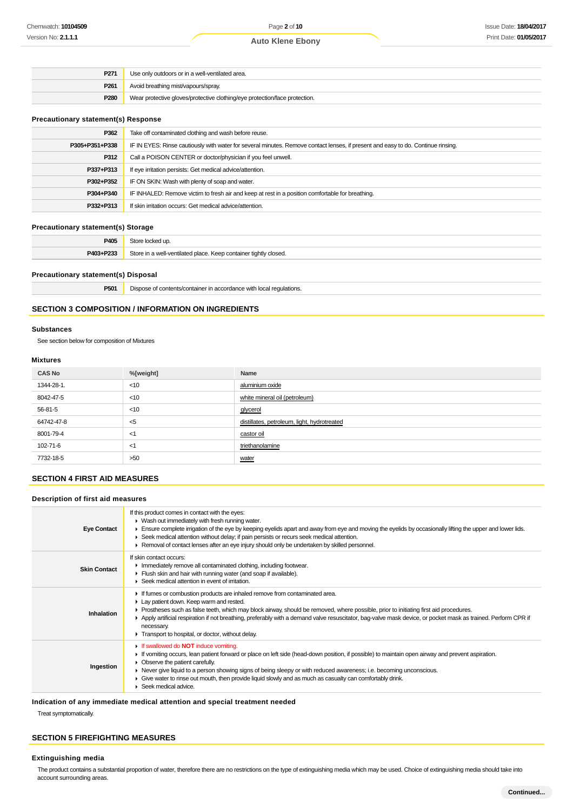| P <sub>271</sub> | Use only outdoors or in a well-ventilated area.                            |
|------------------|----------------------------------------------------------------------------|
| P <sub>261</sub> | Avoid breathing mist/vapours/spray.                                        |
| P <sub>280</sub> | Wear protective gloves/protective clothing/eye protection/face protection. |

# **Precautionary statement(s) Response**

| P362           | Take off contaminated clothing and wash before reuse.                                                                            |
|----------------|----------------------------------------------------------------------------------------------------------------------------------|
| P305+P351+P338 | IF IN EYES: Rinse cautiously with water for several minutes. Remove contact lenses, if present and easy to do. Continue rinsing. |
| P312           | Call a POISON CENTER or doctor/physician if you feel unwell.                                                                     |
| P337+P313      | If eye irritation persists: Get medical advice/attention.                                                                        |
| P302+P352      | IF ON SKIN: Wash with plenty of soap and water.                                                                                  |
| P304+P340      | IF INHALED: Remove victim to fresh air and keep at rest in a position comfortable for breathing.                                 |
| P332+P313      | If skin irritation occurs: Get medical advice/attention.                                                                         |
|                |                                                                                                                                  |

# **Precautionary statement(s) Storage**

| P405      | $: + \sim$                                                         |
|-----------|--------------------------------------------------------------------|
| P403+P233 | Store<br>ו a well-ventilated place. Keep container tightly closed. |

# **Precautionary statement(s) Disposal**

**P501** Dispose of contents/container in accordance with local regulations.

# **SECTION 3 COMPOSITION / INFORMATION ON INGREDIENTS**

#### **Substances**

See section below for composition of Mixtures

# **Mixtures**

| <b>CAS No</b> | %[weight] | Name                                        |
|---------------|-----------|---------------------------------------------|
| 1344-28-1.    | $<$ 10    | aluminium oxide                             |
| 8042-47-5     | $<$ 10    | white mineral oil (petroleum)               |
| 56-81-5       | $<$ 10    | glycerol                                    |
| 64742-47-8    | $5$       | distillates, petroleum, light, hydrotreated |
| 8001-79-4     | <1        | castor oil                                  |
| 102-71-6      | <1        | triethanolamine                             |
| 7732-18-5     | >50       | water                                       |

# **SECTION 4 FIRST AID MEASURES**

# **Description of first aid measures**

| <b>Eye Contact</b>  | If this product comes in contact with the eyes:<br>• Wash out immediately with fresh running water.<br>Ensure complete irrigation of the eye by keeping eyelids apart and away from eye and moving the eyelids by occasionally lifting the upper and lower lids.<br>► Seek medical attention without delay; if pain persists or recurs seek medical attention.<br>► Removal of contact lenses after an eye injury should only be undertaken by skilled personnel.                                   |
|---------------------|-----------------------------------------------------------------------------------------------------------------------------------------------------------------------------------------------------------------------------------------------------------------------------------------------------------------------------------------------------------------------------------------------------------------------------------------------------------------------------------------------------|
| <b>Skin Contact</b> | If skin contact occurs:<br>Inmediately remove all contaminated clothing, including footwear.<br>Flush skin and hair with running water (and soap if available).<br>Seek medical attention in event of irritation.                                                                                                                                                                                                                                                                                   |
| Inhalation          | If fumes or combustion products are inhaled remove from contaminated area.<br>Lay patient down. Keep warm and rested.<br>► Prostheses such as false teeth, which may block airway, should be removed, where possible, prior to initiating first aid procedures.<br>▶ Apply artificial respiration if not breathing, preferably with a demand valve resuscitator, bag-valve mask device, or pocket mask as trained. Perform CPR if<br>necessary.<br>Transport to hospital, or doctor, without delay. |
| Ingestion           | If swallowed do <b>NOT</b> induce vomiting.<br>If vomiting occurs, lean patient forward or place on left side (head-down position, if possible) to maintain open airway and prevent aspiration.<br>• Observe the patient carefully.<br>► Never give liquid to a person showing signs of being sleepy or with reduced awareness; i.e. becoming unconscious.<br>• Give water to rinse out mouth, then provide liquid slowly and as much as casualty can comfortably drink.<br>Seek medical advice.    |

**Indication of any immediate medical attention and special treatment needed**

Treat symptomatically.

# **SECTION 5 FIREFIGHTING MEASURES**

#### **Extinguishing media**

The product contains a substantial proportion of water, therefore there are no restrictions on the type of extinguishing media which may be used. Choice of extinguishing media should take into account surrounding areas.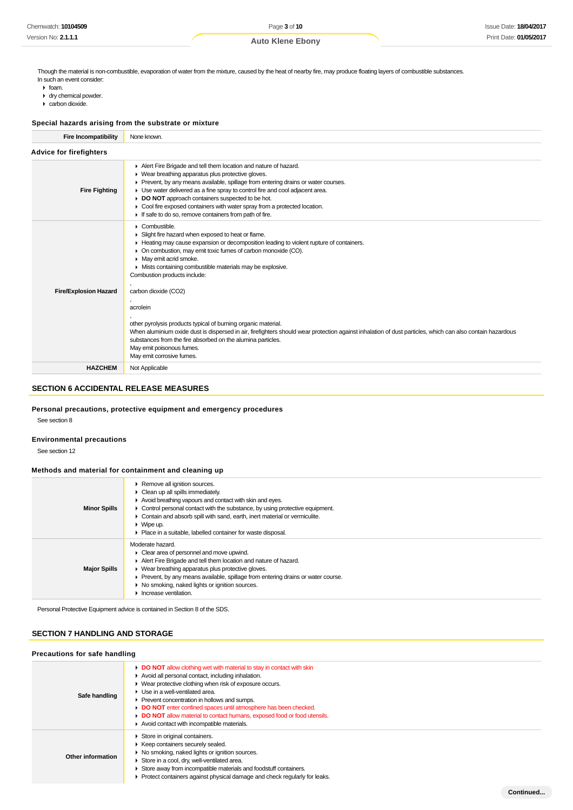Though the material is non-combustible, evaporation of water from the mixture, caused by the heat of nearby fire, may produce floating layers of combustible substances. In such an event consider:

- $\triangleright$  foam.
- dry chemical powder.
- carbon dioxide.

# **Special hazards arising from the substrate or mixture**

**Fire Incompatibility** None known.

| Fire incompatibility           | None known.                                                                                                                                                                                                                                                                                                                                                                                                                                                                                 |  |  |
|--------------------------------|---------------------------------------------------------------------------------------------------------------------------------------------------------------------------------------------------------------------------------------------------------------------------------------------------------------------------------------------------------------------------------------------------------------------------------------------------------------------------------------------|--|--|
| <b>Advice for firefighters</b> |                                                                                                                                                                                                                                                                                                                                                                                                                                                                                             |  |  |
| <b>Fire Fighting</b>           | Alert Fire Brigade and tell them location and nature of hazard.<br>• Wear breathing apparatus plus protective gloves.<br>• Prevent, by any means available, spillage from entering drains or water courses.<br>• Use water delivered as a fine spray to control fire and cool adjacent area.<br>DO NOT approach containers suspected to be hot.<br>Cool fire exposed containers with water spray from a protected location.<br>Þ.<br>If safe to do so, remove containers from path of fire. |  |  |
|                                | $\triangleright$ Combustible.<br>Slight fire hazard when exposed to heat or flame.<br>Heating may cause expansion or decomposition leading to violent rupture of containers.<br>On combustion, may emit toxic fumes of carbon monoxide (CO).<br>May emit acrid smoke.<br>• Mists containing combustible materials may be explosive.<br>Combustion products include:                                                                                                                         |  |  |
| <b>Fire/Explosion Hazard</b>   | carbon dioxide (CO2)<br>acrolein<br>other pyrolysis products typical of burning organic material.<br>When aluminium oxide dust is dispersed in air, firefighters should wear protection against inhalation of dust particles, which can also contain hazardous<br>substances from the fire absorbed on the alumina particles.<br>May emit poisonous fumes.<br>May emit corrosive fumes.                                                                                                     |  |  |
| <b>HAZCHEM</b>                 | Not Applicable                                                                                                                                                                                                                                                                                                                                                                                                                                                                              |  |  |

# **SECTION 6 ACCIDENTAL RELEASE MEASURES**

# **Personal precautions, protective equipment and emergency procedures**

See section 8

#### **Environmental precautions**

See section 12

# **Methods and material for containment and cleaning up**

| <b>Minor Spills</b> | ▶ Remove all ignition sources.<br>Clean up all spills immediately.<br>Avoid breathing vapours and contact with skin and eyes.<br>Control personal contact with the substance, by using protective equipment.<br>• Contain and absorb spill with sand, earth, inert material or vermiculite.<br>$\triangleright$ Wipe up.<br>Place in a suitable, labelled container for waste disposal. |
|---------------------|-----------------------------------------------------------------------------------------------------------------------------------------------------------------------------------------------------------------------------------------------------------------------------------------------------------------------------------------------------------------------------------------|
| <b>Major Spills</b> | Moderate hazard.<br>Clear area of personnel and move upwind.<br>Alert Fire Brigade and tell them location and nature of hazard.<br>• Wear breathing apparatus plus protective gloves.<br>Prevent, by any means available, spillage from entering drains or water course.<br>▶ No smoking, naked lights or ignition sources.<br>Increase ventilation.                                    |

Personal Protective Equipment advice is contained in Section 8 of the SDS.

# **SECTION 7 HANDLING AND STORAGE**

# **Precautions for safe handling**

| Precautions for safe nandling |                                                                                                                                                                                                                                                                                                                                                                                                                                                                                                   |  |
|-------------------------------|---------------------------------------------------------------------------------------------------------------------------------------------------------------------------------------------------------------------------------------------------------------------------------------------------------------------------------------------------------------------------------------------------------------------------------------------------------------------------------------------------|--|
| Safe handling                 | <b>DO NOT</b> allow clothing wet with material to stay in contact with skin<br>Avoid all personal contact, including inhalation.<br>• Wear protective clothing when risk of exposure occurs.<br>$\blacktriangleright$ Use in a well-ventilated area.<br>▶ Prevent concentration in hollows and sumps.<br>DO NOT enter confined spaces until atmosphere has been checked.<br>DO NOT allow material to contact humans, exposed food or food utensils.<br>Avoid contact with incompatible materials. |  |
| Other information             | Store in original containers.<br>▶ Keep containers securely sealed.<br>• No smoking, naked lights or ignition sources.<br>Store in a cool, dry, well-ventilated area.<br>Store away from incompatible materials and foodstuff containers.<br>• Protect containers against physical damage and check regularly for leaks.                                                                                                                                                                          |  |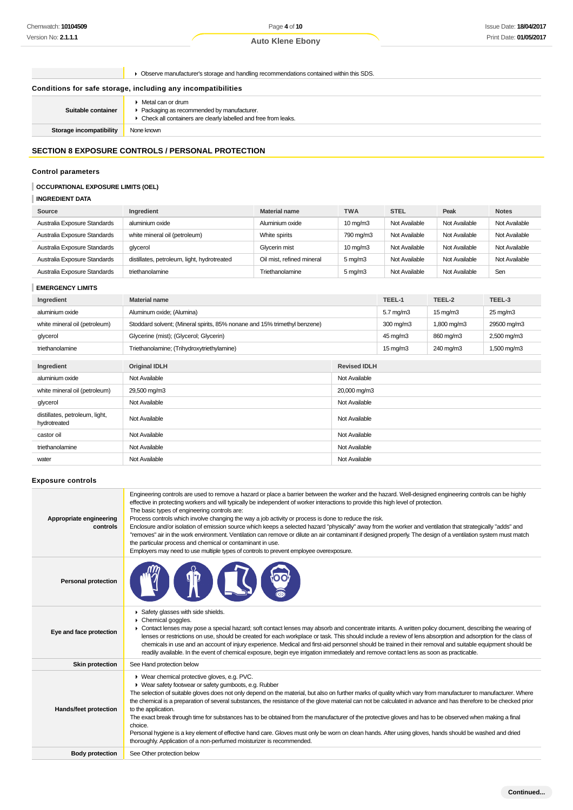Page **4** of **10 Auto Klene Ebony**

Observe manufacturer's storage and handling recommendations contained within this SDS.

# **Conditions for safe storage, including any incompatibilities**

| ▶ Check all containers are clearly labelled and free from leaks. | Suitable container | $\blacktriangleright$ Metal can or drum<br>▶ Packaging as recommended by manufacturer. |
|------------------------------------------------------------------|--------------------|----------------------------------------------------------------------------------------|
| <b>Storage incompatibility</b><br>None known                     |                    |                                                                                        |

# **SECTION 8 EXPOSURE CONTROLS / PERSONAL PROTECTION**

# **Control parameters**

# **OCCUPATIONAL EXPOSURE LIMITS (OEL)**

# **INGREDIENT DATA**

| Source                       | Ingredient                                  | <b>Material name</b>      | <b>TWA</b>        | <b>STEL</b>   | Peak          | <b>Notes</b>  |
|------------------------------|---------------------------------------------|---------------------------|-------------------|---------------|---------------|---------------|
| Australia Exposure Standards | aluminium oxide                             | Aluminium oxide           | $10 \text{ mg/m}$ | Not Available | Not Available | Not Available |
| Australia Exposure Standards | white mineral oil (petroleum)               | White spirits             | 790 mg/m3         | Not Available | Not Available | Not Available |
| Australia Exposure Standards | glycerol                                    | Glycerin mist             | $10 \text{ mg/m}$ | Not Available | Not Available | Not Available |
| Australia Exposure Standards | distillates, petroleum, light, hydrotreated | Oil mist, refined mineral | $5 \text{ mg/m}$  | Not Available | Not Available | Not Available |
| Australia Exposure Standards | triethanolamine                             | Triethanolamine           | $5 \text{ mg/m}$  | Not Available | Not Available | Sen           |

# **EMERGENCY LIMITS**

| Ingredient                                     | <b>Material name</b>                                                      |                     | TEEL-1               | TEEL-2                | TEEL-3                 |
|------------------------------------------------|---------------------------------------------------------------------------|---------------------|----------------------|-----------------------|------------------------|
| aluminium oxide                                | Aluminum oxide; (Alumina)                                                 |                     | $5.7 \text{ mg/m}$ 3 | $15 \,\mathrm{mag/m}$ | $25 \,\mathrm{mq/m}$ 3 |
| white mineral oil (petroleum)                  | Stoddard solvent; (Mineral spirits, 85% nonane and 15% trimethyl benzene) |                     | $300 \text{ mg/m}$   | 1,800 mg/m3           | 29500 mg/m3            |
| glycerol                                       | Glycerine (mist); (Glycerol; Glycerin)                                    |                     | 45 mg/m3             | 860 mg/m3             | 2,500 mg/m3            |
| triethanolamine                                | Triethanolamine; (Trihydroxytriethylamine)                                |                     | $15 \text{ mg/m}$    | 240 mg/m3             | 1,500 mg/m3            |
|                                                |                                                                           |                     |                      |                       |                        |
| Ingredient                                     | <b>Original IDLH</b>                                                      | <b>Revised IDLH</b> |                      |                       |                        |
| aluminium oxide                                | Not Available                                                             | Not Available       |                      |                       |                        |
| white mineral oil (petroleum)                  | 29,500 mg/m3                                                              | 20,000 mg/m3        |                      |                       |                        |
| glycerol                                       | Not Available                                                             | Not Available       |                      |                       |                        |
| distillates, petroleum, light,<br>hydrotreated | Not Available                                                             | Not Available       |                      |                       |                        |
| castor oil                                     | Not Available                                                             | Not Available       |                      |                       |                        |
| triethanolamine                                | Not Available                                                             | Not Available       |                      |                       |                        |
| water                                          | Not Available                                                             | Not Available       |                      |                       |                        |

# **Exposure controls**

| Appropriate engineering<br>controls | Engineering controls are used to remove a hazard or place a barrier between the worker and the hazard. Well-designed engineering controls can be highly<br>effective in protecting workers and will typically be independent of worker interactions to provide this high level of protection.<br>The basic types of engineering controls are:<br>Process controls which involve changing the way a job activity or process is done to reduce the risk.<br>Enclosure and/or isolation of emission source which keeps a selected hazard "physically" away from the worker and ventilation that strategically "adds" and<br>"removes" air in the work environment. Ventilation can remove or dilute an air contaminant if designed properly. The design of a ventilation system must match<br>the particular process and chemical or contaminant in use.<br>Employers may need to use multiple types of controls to prevent employee overexposure. |
|-------------------------------------|-------------------------------------------------------------------------------------------------------------------------------------------------------------------------------------------------------------------------------------------------------------------------------------------------------------------------------------------------------------------------------------------------------------------------------------------------------------------------------------------------------------------------------------------------------------------------------------------------------------------------------------------------------------------------------------------------------------------------------------------------------------------------------------------------------------------------------------------------------------------------------------------------------------------------------------------------|
| <b>Personal protection</b>          |                                                                                                                                                                                                                                                                                                                                                                                                                                                                                                                                                                                                                                                                                                                                                                                                                                                                                                                                                 |
| Eye and face protection             | Safety glasses with side shields.<br>Chemical goggles.<br>► Contact lenses may pose a special hazard; soft contact lenses may absorb and concentrate irritants. A written policy document, describing the wearing of<br>lenses or restrictions on use, should be created for each workplace or task. This should include a review of lens absorption and adsorption for the class of<br>chemicals in use and an account of injury experience. Medical and first-aid personnel should be trained in their removal and suitable equipment should be<br>readily available. In the event of chemical exposure, begin eye irrigation immediately and remove contact lens as soon as practicable.                                                                                                                                                                                                                                                     |
| Skin protection                     | See Hand protection below                                                                                                                                                                                                                                                                                                                                                                                                                                                                                                                                                                                                                                                                                                                                                                                                                                                                                                                       |
| Hands/feet protection               | ▶ Wear chemical protective gloves, e.g. PVC.<br>▶ Wear safety footwear or safety gumboots, e.g. Rubber<br>The selection of suitable gloves does not only depend on the material, but also on further marks of quality which vary from manufacturer to manufacturer. Where<br>the chemical is a preparation of several substances, the resistance of the glove material can not be calculated in advance and has therefore to be checked prior<br>to the application.<br>The exact break through time for substances has to be obtained from the manufacturer of the protective gloves and has to be observed when making a final<br>choice.<br>Personal hygiene is a key element of effective hand care. Gloves must only be worn on clean hands. After using gloves, hands should be washed and dried<br>thoroughly. Application of a non-perfumed moisturizer is recommended.                                                                 |
| <b>Body protection</b>              | See Other protection below                                                                                                                                                                                                                                                                                                                                                                                                                                                                                                                                                                                                                                                                                                                                                                                                                                                                                                                      |
|                                     |                                                                                                                                                                                                                                                                                                                                                                                                                                                                                                                                                                                                                                                                                                                                                                                                                                                                                                                                                 |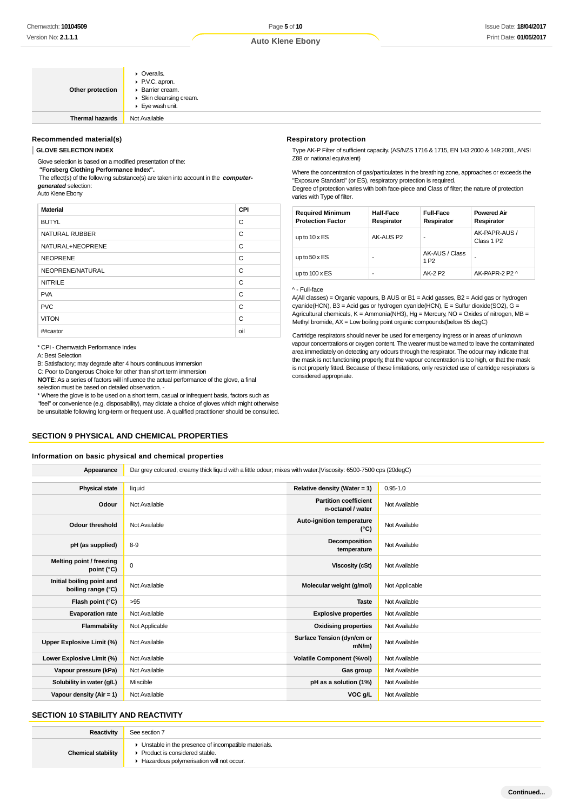| Other protection       | $\triangleright$ Overalls.<br>▶ P.V.C. apron.<br>▶ Barrier cream.<br>Skin cleansing cream.<br>Eye wash unit. |
|------------------------|--------------------------------------------------------------------------------------------------------------|
| <b>Thermal hazards</b> | Not Available                                                                                                |

**Recommended material(s)**

#### **GLOVE SELECTION INDEX**

Glove selection is based on a modified presentation of the:

 **"Forsberg Clothing Performance Index".**

 The effect(s) of the following substance(s) are taken into account in the **computergenerated** selection:

Auto Klene Ebony

| <b>Material</b>       | CPI |
|-----------------------|-----|
| <b>BUTYL</b>          | C   |
| <b>NATURAL RUBBER</b> | C   |
| NATURAL+NEOPRENE      | C   |
| <b>NEOPRENE</b>       | C   |
| NEOPRENE/NATURAL      | C   |
| <b>NITRILE</b>        | C   |
| <b>PVA</b>            | C   |
| <b>PVC</b>            | C   |
| <b>VITON</b>          | C   |
| ##castor              | oil |

#### **Respiratory protection**

Type AK-P Filter of sufficient capacity. (AS/NZS 1716 & 1715, EN 143:2000 & 149:2001, ANSI Z88 or national equivalent)

Where the concentration of gas/particulates in the breathing zone, approaches or exceeds the "Exposure Standard" (or ES), respiratory protection is required.

Degree of protection varies with both face-piece and Class of filter; the nature of protection varies with Type of filter.

| <b>Required Minimum</b><br><b>Protection Factor</b> | <b>Half-Face</b><br>Respirator | <b>Full-Face</b><br>Respirator     | <b>Powered Air</b><br>Respirator        |
|-----------------------------------------------------|--------------------------------|------------------------------------|-----------------------------------------|
| up to $10 \times ES$                                | AK-AUS P2                      | ٠                                  | AK-PAPR-AUS /<br>Class 1 P <sub>2</sub> |
| up to $50 \times ES$                                | -                              | AK-AUS / Class<br>1 P <sub>2</sub> |                                         |
| up to $100 \times ES$                               | ۰                              | AK-2 P2                            | AK-PAPR-2 P2 ^                          |

#### ^ - Full-face

A(All classes) = Organic vapours, B AUS or  $B1$  = Acid gasses,  $B2$  = Acid gas or hydrogen cyanide(HCN), B3 = Acid gas or hydrogen cyanide(HCN), E = Sulfur dioxide(SO2), G = Agricultural chemicals,  $K =$  Ammonia(NH3), Hg = Mercury, NO = Oxides of nitrogen, MB = Methyl bromide,  $AX = Low$  boiling point organic compounds (below 65 degC)

Cartridge respirators should never be used for emergency ingress or in areas of unknown vapour concentrations or oxygen content. The wearer must be warned to leave the contaminated area immediately on detecting any odours through the respirator. The odour may indicate that the mask is not functioning properly, that the vapour concentration is too high, or that the mask is not properly fitted. Because of these limitations, only restricted use of cartridge respirators is considered appropriate.

\* CPI - Chemwatch Performance Index

A: Best Selection

B: Satisfactory; may degrade after 4 hours continuous immersion

C: Poor to Dangerous Choice for other than short term immersion

**NOTE**: As a series of factors will influence the actual performance of the glove, a final selection must be based on detailed observation. -

\* Where the glove is to be used on a short term, casual or infrequent basis, factors such as "feel" or convenience (e.g. disposability), may dictate a choice of gloves which might otherwise be unsuitable following long-term or frequent use. A qualified practitioner should be consulted.

# **SECTION 9 PHYSICAL AND CHEMICAL PROPERTIES**

#### **Information on basic physical and chemical properties**

**Appearance** Dar grey coloured, creamy thick liquid with a little odour; mixes with water.|Viscosity: 6500-7500 cps (20degC) **Physical state** liquid **Relative density (Water = 1)** 0.95-1.0 **Odour** Not Available **Partition coefficient n-octanol / water** Not Available **Odour threshold** Not Available **Auto-ignition temperature Auto-ignition temperature Not Available pH (as supplied)** 8-9 **Decomposition**<br> **pH (as supplied)** 8-9 **Decomposition Not Available Melting point / freezing point (°C)** <sup>0</sup> **Viscosity (cSt)** Not Available **Initial boiling point and boiling range (°C)** Not Available **Molecular weight (g/mol)** Not Applicable **boiling range (°C)** Not Applicable **Flash point (°C)** >95 **Taste** Not Available **Evaporation rate** Not Available **Explosive properties** Not Available **Flammability** Not Applicable **Notable 19th Applicable 10** Not Available **Commability** Not Available **Upper Explosive Limit (%)** Not Available **Surface Tension (dyn/cm or Not Available Lower Explosive Limit (%)** Not Available **Volatile Component (%vol)** Not Available **Vapour pressure (kPa)** Not Available **Gas group** Not Available **Solubility in water (g/L)** Miscible **pH as a solution (1%)** Not Available **Vapour density (Air = 1)** Not Available **VOC g/L** Not Available

# **SECTION 10 STABILITY AND REACTIVITY**

| Reactivity                | See section 7                                                                                                                        |
|---------------------------|--------------------------------------------------------------------------------------------------------------------------------------|
| <b>Chemical stability</b> | • Unstable in the presence of incompatible materials.<br>▶ Product is considered stable.<br>Hazardous polymerisation will not occur. |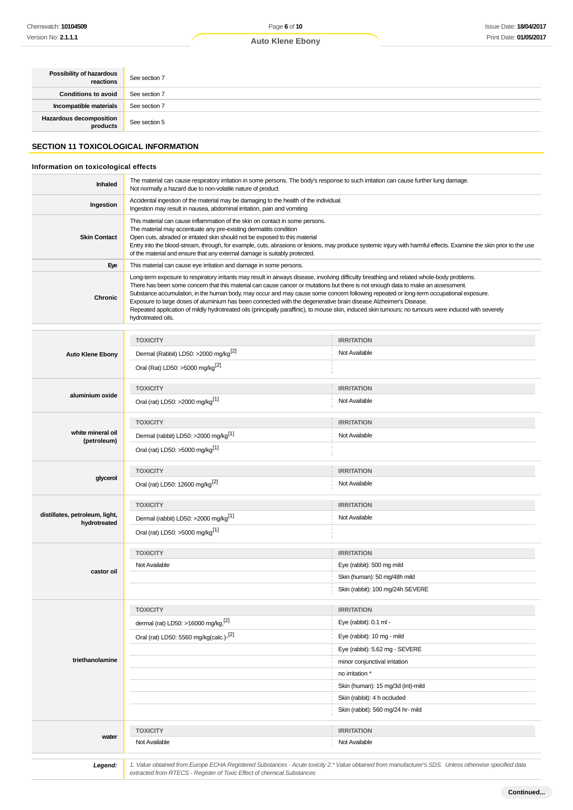| Possibility of hazardous<br>reactions | See section 7 |
|---------------------------------------|---------------|
| <b>Conditions to avoid</b>            | See section 7 |
| Incompatible materials                | See section 7 |
| Hazardous decomposition<br>products   | See section 5 |

# **SECTION 11 TOXICOLOGICAL INFORMATION**

# **Information on toxicological effects**

| Inhaled             | The material can cause respiratory irritation in some persons. The body's response to such irritation can cause further lung damage.<br>Not normally a hazard due to non-volatile nature of product                                                                                                                                                                                                                                                                                                                                                                                                                                                                                                                         |
|---------------------|-----------------------------------------------------------------------------------------------------------------------------------------------------------------------------------------------------------------------------------------------------------------------------------------------------------------------------------------------------------------------------------------------------------------------------------------------------------------------------------------------------------------------------------------------------------------------------------------------------------------------------------------------------------------------------------------------------------------------------|
| Ingestion           | Accidental ingestion of the material may be damaging to the health of the individual.<br>Ingestion may result in nausea, abdominal irritation, pain and vomiting                                                                                                                                                                                                                                                                                                                                                                                                                                                                                                                                                            |
| <b>Skin Contact</b> | This material can cause inflammation of the skin on contact in some persons.<br>The material may accentuate any pre-existing dermatitis condition<br>Open cuts, abraded or irritated skin should not be exposed to this material<br>Entry into the blood-stream, through, for example, cuts, abrasions or lesions, may produce systemic injury with harmful effects. Examine the skin prior to the use<br>of the material and ensure that any external damage is suitably protected.                                                                                                                                                                                                                                        |
| Eye                 | This material can cause eye irritation and damage in some persons.                                                                                                                                                                                                                                                                                                                                                                                                                                                                                                                                                                                                                                                          |
| <b>Chronic</b>      | Long-term exposure to respiratory irritants may result in airways disease, involving difficulty breathing and related whole-body problems.<br>There has been some concern that this material can cause cancer or mutations but there is not enough data to make an assessment.<br>Substance accumulation, in the human body, may occur and may cause some concern following repeated or long-term occupational exposure.<br>Exposure to large doses of aluminium has been connected with the degenerative brain disease Alzheimer's Disease.<br>Repeated application of mildly hydrotreated oils (principally paraffinic), to mouse skin, induced skin tumours; no tumours were induced with severely<br>hydrotreated oils. |

|                                                | <b>TOXICITY</b>                                                        | <b>IRRITATION</b>                                                                                                                                     |
|------------------------------------------------|------------------------------------------------------------------------|-------------------------------------------------------------------------------------------------------------------------------------------------------|
| <b>Auto Klene Ebony</b>                        | Dermal (Rabbit) LD50: >2000 mg/kg <sup>[2]</sup>                       | Not Available                                                                                                                                         |
|                                                | Oral (Rat) LD50: >5000 mg/kg <sup>[2]</sup>                            |                                                                                                                                                       |
|                                                | <b>TOXICITY</b>                                                        | <b>IRRITATION</b>                                                                                                                                     |
| aluminium oxide                                | Oral (rat) LD50: >2000 mg/kg <sup>[1]</sup>                            | Not Available                                                                                                                                         |
|                                                | <b>TOXICITY</b>                                                        | <b>IRRITATION</b>                                                                                                                                     |
| white mineral oil<br>(petroleum)               | Dermal (rabbit) LD50: >2000 mg/kg <sup>[1]</sup>                       | Not Available                                                                                                                                         |
|                                                | Oral (rat) LD50: >5000 mg/kg <sup>[1]</sup>                            |                                                                                                                                                       |
|                                                | <b>TOXICITY</b>                                                        | <b>IRRITATION</b>                                                                                                                                     |
| glycerol                                       | Oral (rat) LD50: 12600 mg/kg <sup>[2]</sup>                            | Not Available                                                                                                                                         |
|                                                | <b>TOXICITY</b>                                                        | <b>IRRITATION</b>                                                                                                                                     |
| distillates, petroleum, light,<br>hydrotreated | Dermal (rabbit) LD50: >2000 mg/kg <sup>[1]</sup>                       | Not Available                                                                                                                                         |
|                                                | Oral (rat) LD50: >5000 mg/kg <sup>[1]</sup>                            |                                                                                                                                                       |
|                                                | <b>TOXICITY</b>                                                        | <b>IRRITATION</b>                                                                                                                                     |
| castor oil                                     | Not Available                                                          | Eye (rabbit): 500 mg mild                                                                                                                             |
|                                                |                                                                        | Skin (human): 50 mg/48h mild                                                                                                                          |
|                                                |                                                                        | Skin (rabbit): 100 mg/24h SEVERE                                                                                                                      |
|                                                | <b>TOXICITY</b>                                                        | <b>IRRITATION</b>                                                                                                                                     |
|                                                | dermal (rat) LD50: >16000 mg/kg, <sup>[2]</sup>                        | Eye (rabbit): 0.1 ml -                                                                                                                                |
|                                                | Oral (rat) LD50: 5560 mg/kg(calc.)-[2]                                 | Eye (rabbit): 10 mg - mild                                                                                                                            |
|                                                |                                                                        | Eye (rabbit): 5.62 mg - SEVERE                                                                                                                        |
| triethanolamine                                |                                                                        | minor conjunctival irritation                                                                                                                         |
|                                                |                                                                        | no irritation *                                                                                                                                       |
|                                                |                                                                        | Skin (human): 15 mg/3d (int)-mild                                                                                                                     |
|                                                |                                                                        | Skin (rabbit): 4 h occluded                                                                                                                           |
|                                                |                                                                        | Skin (rabbit): 560 mg/24 hr- mild                                                                                                                     |
|                                                | <b>TOXICITY</b>                                                        | <b>IRRITATION</b>                                                                                                                                     |
| water                                          | Not Available                                                          | Not Available                                                                                                                                         |
| Legend:                                        | extracted from RTECS - Register of Toxic Effect of chemical Substances | 1. Value obtained from Europe ECHA Registered Substances - Acute toxicity 2.* Value obtained from manufacturer's SDS. Unless otherwise specified data |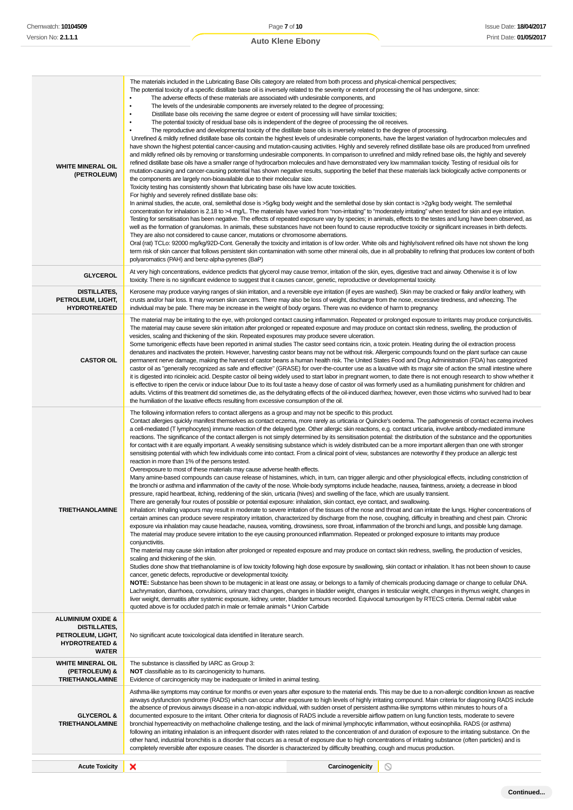| <b>WHITE MINERAL OIL</b><br>(PETROLEUM)                                                                               | The materials included in the Lubricating Base Oils category are related from both process and physical-chemical perspectives;<br>The potential toxicity of a specific distillate base oil is inversely related to the severity or extent of processing the oil has undergone, since:<br>The adverse effects of these materials are associated with undesirable components, and<br>$\bullet$<br>The levels of the undesirable components are inversely related to the degree of processing;<br>Distillate base oils receiving the same degree or extent of processing will have similar toxicities;<br>The potential toxicity of residual base oils is independent of the degree of processing the oil receives.<br>The reproductive and developmental toxicity of the distillate base oils is inversely related to the degree of processing.<br>Unrefined & mildly refined distillate base oils contain the highest levels of undesirable components, have the largest variation of hydrocarbon molecules and<br>have shown the highest potential cancer-causing and mutation-causing activities. Highly and severely refined distillate base oils are produced from unrefined<br>and mildly refined oils by removing or transforming undesirable components. In comparison to unrefined and mildly refined base oils, the highly and severely<br>refined distillate base oils have a smaller range of hydrocarbon molecules and have demonstrated very low mammalian toxicity. Testing of residual oils for<br>mutation-causing and cancer-causing potential has shown negative results, supporting the belief that these materials lack biologically active components or<br>the components are largely non-bioavailable due to their molecular size.<br>Toxicity testing has consistently shown that lubricating base oils have low acute toxicities.<br>For highly and severely refined distillate base oils:<br>In animal studies, the acute, oral, semilethal dose is >5g/kg body weight and the semilethal dose by skin contact is >2g/kg body weight. The semilethal<br>concentration for inhalation is 2.18 to >4 mg/L. The materials have varied from "non-irritating" to "moderately irritating" when tested for skin and eye irritation.<br>Testing for sensitisation has been negative. The effects of repeated exposure vary by species; in animals, effects to the testes and lung have been observed, as<br>well as the formation of granulomas. In animals, these substances have not been found to cause reproductive toxicity or significant increases in birth defects.<br>They are also not considered to cause cancer, mutations or chromosome aberrations.<br>Oral (rat) TCLo: 92000 mg/kg/92D-Cont. Generally the toxicity and irritation is of low order. White oils and highly/solvent refined oils have not shown the long<br>term risk of skin cancer that follows persistent skin contamination with some other mineral oils, due in all probability to refining that produces low content of both<br>polyaromatics (PAH) and benz-alpha-pyrenes (BaP)                                                                                                                                                                                                                                                                                   |  |  |
|-----------------------------------------------------------------------------------------------------------------------|------------------------------------------------------------------------------------------------------------------------------------------------------------------------------------------------------------------------------------------------------------------------------------------------------------------------------------------------------------------------------------------------------------------------------------------------------------------------------------------------------------------------------------------------------------------------------------------------------------------------------------------------------------------------------------------------------------------------------------------------------------------------------------------------------------------------------------------------------------------------------------------------------------------------------------------------------------------------------------------------------------------------------------------------------------------------------------------------------------------------------------------------------------------------------------------------------------------------------------------------------------------------------------------------------------------------------------------------------------------------------------------------------------------------------------------------------------------------------------------------------------------------------------------------------------------------------------------------------------------------------------------------------------------------------------------------------------------------------------------------------------------------------------------------------------------------------------------------------------------------------------------------------------------------------------------------------------------------------------------------------------------------------------------------------------------------------------------------------------------------------------------------------------------------------------------------------------------------------------------------------------------------------------------------------------------------------------------------------------------------------------------------------------------------------------------------------------------------------------------------------------------------------------------------------------------------------------------------------------------------------------------------------------------------------------------------------------------------------------------------------------------------------------------------------------------------------------------------------------------------------------------------------------------------------------------------------------------------------------------------------------------------------------------------------------------------------------------------------------------------------------------------------------------------------------------------------------------------------------------------------------------------------------------------------------------------------------------------------------------------|--|--|
| <b>GLYCEROL</b>                                                                                                       | At very high concentrations, evidence predicts that glycerol may cause tremor, irritation of the skin, eyes, digestive tract and airway. Otherwise it is of low<br>toxicity. There is no significant evidence to suggest that it causes cancer, genetic, reproductive or developmental toxicity.                                                                                                                                                                                                                                                                                                                                                                                                                                                                                                                                                                                                                                                                                                                                                                                                                                                                                                                                                                                                                                                                                                                                                                                                                                                                                                                                                                                                                                                                                                                                                                                                                                                                                                                                                                                                                                                                                                                                                                                                                                                                                                                                                                                                                                                                                                                                                                                                                                                                                                                                                                                                                                                                                                                                                                                                                                                                                                                                                                                                                                                                       |  |  |
| <b>DISTILLATES,</b><br>PETROLEUM, LIGHT,<br><b>HYDROTREATED</b>                                                       | Kerosene may produce varying ranges of skin irritation, and a reversible eye irritation (if eyes are washed). Skin may be cracked or flaky and/or leathery, with<br>crusts and/or hair loss. It may worsen skin cancers. There may also be loss of weight, discharge from the nose, excessive tiredness, and wheezing. The<br>individual may be pale. There may be increase in the weight of body organs. There was no evidence of harm to pregnancy.                                                                                                                                                                                                                                                                                                                                                                                                                                                                                                                                                                                                                                                                                                                                                                                                                                                                                                                                                                                                                                                                                                                                                                                                                                                                                                                                                                                                                                                                                                                                                                                                                                                                                                                                                                                                                                                                                                                                                                                                                                                                                                                                                                                                                                                                                                                                                                                                                                                                                                                                                                                                                                                                                                                                                                                                                                                                                                                  |  |  |
| <b>CASTOR OIL</b>                                                                                                     | The material may be irritating to the eye, with prolonged contact causing inflammation. Repeated or prolonged exposure to irritants may produce conjunctivitis.<br>The material may cause severe skin irritation after prolonged or repeated exposure and may produce on contact skin redness, swelling, the production of<br>vesicles, scaling and thickening of the skin. Repeated exposures may produce severe ulceration.<br>Some tumorigenic effects have been reported in animal studies The castor seed contains ricin, a toxic protein. Heating during the oil extraction process<br>denatures and inactivates the protein. However, harvesting castor beans may not be without risk. Allergenic compounds found on the plant surface can cause<br>permanent nerve damage, making the harvest of castor beans a human health risk. The United States Food and Drug Administration (FDA) has categorized<br>castor oil as "generally recognized as safe and effective" (GRASE) for over-the-counter use as a laxative with its major site of action the small intestine where<br>it is digested into ricinoleic acid. Despite castor oil being widely used to start labor in pregnant women, to date there is not enough research to show whether it<br>is effective to ripen the cervix or induce labour Due to its foul taste a heavy dose of castor oil was formerly used as a humiliating punishment for children and<br>adults. Victims of this treatment did sometimes die, as the dehydrating effects of the oil-induced diarrhea; however, even those victims who survived had to bear<br>the humiliation of the laxative effects resulting from excessive consumption of the oil.                                                                                                                                                                                                                                                                                                                                                                                                                                                                                                                                                                                                                                                                                                                                                                                                                                                                                                                                                                                                                                                                                                                                                                                                                                                                                                                                                                                                                                                                                                                                                                                                                                                                      |  |  |
| <b>TRIETHANOLAMINE</b>                                                                                                | The following information refers to contact allergens as a group and may not be specific to this product.<br>Contact allergies quickly manifest themselves as contact eczema, more rarely as urticaria or Quincke's oedema. The pathogenesis of contact eczema involves<br>a cell-mediated (T lymphocytes) immune reaction of the delayed type. Other allergic skin reactions, e.g. contact urticaria, involve antibody-mediated immune<br>reactions. The significance of the contact allergen is not simply determined by its sensitisation potential: the distribution of the substance and the opportunities<br>for contact with it are equally important. A weakly sensitising substance which is widely distributed can be a more important allergen than one with stronger<br>sensitising potential with which few individuals come into contact. From a clinical point of view, substances are noteworthy if they produce an allergic test<br>reaction in more than 1% of the persons tested.<br>Overexposure to most of these materials may cause adverse health effects.<br>Many amine-based compounds can cause release of histamines, which, in turn, can trigger allergic and other physiological effects, including constriction of<br>the bronchi or asthma and inflammation of the cavity of the nose. Whole-body symptoms include headache, nausea, faintness, anxiety, a decrease in blood<br>pressure, rapid heartbeat, itching, reddening of the skin, urticaria (hives) and swelling of the face, which are usually transient.<br>There are generally four routes of possible or potential exposure: inhalation, skin contact, eye contact, and swallowing.<br>Inhalation: Inhaling vapours may result in moderate to severe irritation of the tissues of the nose and throat and can irritate the lungs. Higher concentrations of<br>certain amines can produce severe respiratory irritation, characterized by discharge from the nose, coughing, difficulty in breathing and chest pain. Chronic<br>exposure via inhalation may cause headache, nausea, vomiting, drowsiness, sore throat, inflammation of the bronchi and lungs, and possible lung damage.<br>The material may produce severe irritation to the eye causing pronounced inflammation. Repeated or prolonged exposure to irritants may produce<br>conjunctivitis.<br>The material may cause skin irritation after prolonged or repeated exposure and may produce on contact skin redness, swelling, the production of vesicles,<br>scaling and thickening of the skin.<br>Studies done show that triethanolamine is of low toxicity following high dose exposure by swallowing, skin contact or inhalation. It has not been shown to cause<br>cancer, genetic defects, reproductive or developmental toxicity.<br>NOTE: Substance has been shown to be mutagenic in at least one assay, or belongs to a family of chemicals producing damage or change to cellular DNA.<br>Lachrymation, diarrhoea, convulsions, urinary tract changes, changes in bladder weight, changes in testicular weight, changes in thymus weight, changes in<br>liver weight, dermatitis after systemic exposure, kidney, ureter, bladder tumours recorded. Equivocal tumourigen by RTECS criteria. Dermal rabbit value<br>quoted above is for occluded patch in male or female animals * Union Carbide |  |  |
| <b>ALUMINIUM OXIDE &amp;</b><br><b>DISTILLATES,</b><br>PETROLEUM, LIGHT,<br><b>HYDROTREATED &amp;</b><br><b>WATER</b> | No significant acute toxicological data identified in literature search.                                                                                                                                                                                                                                                                                                                                                                                                                                                                                                                                                                                                                                                                                                                                                                                                                                                                                                                                                                                                                                                                                                                                                                                                                                                                                                                                                                                                                                                                                                                                                                                                                                                                                                                                                                                                                                                                                                                                                                                                                                                                                                                                                                                                                                                                                                                                                                                                                                                                                                                                                                                                                                                                                                                                                                                                                                                                                                                                                                                                                                                                                                                                                                                                                                                                                               |  |  |
| <b>WHITE MINERAL OIL</b><br>(PETROLEUM) &<br><b>TRIETHANOLAMINE</b>                                                   | The substance is classified by IARC as Group 3:<br>NOT classifiable as to its carcinogenicity to humans.<br>Evidence of carcinogenicity may be inadequate or limited in animal testing.                                                                                                                                                                                                                                                                                                                                                                                                                                                                                                                                                                                                                                                                                                                                                                                                                                                                                                                                                                                                                                                                                                                                                                                                                                                                                                                                                                                                                                                                                                                                                                                                                                                                                                                                                                                                                                                                                                                                                                                                                                                                                                                                                                                                                                                                                                                                                                                                                                                                                                                                                                                                                                                                                                                                                                                                                                                                                                                                                                                                                                                                                                                                                                                |  |  |
| <b>GLYCEROL &amp;</b><br><b>TRIETHANOLAMINE</b>                                                                       | Asthma-like symptoms may continue for months or even years after exposure to the material ends. This may be due to a non-allergic condition known as reactive<br>airways dysfunction syndrome (RADS) which can occur after exposure to high levels of highly irritating compound. Main criteria for diagnosing RADS include<br>the absence of previous airways disease in a non-atopic individual, with sudden onset of persistent asthma-like symptoms within minutes to hours of a<br>documented exposure to the irritant. Other criteria for diagnosis of RADS include a reversible airflow pattern on lung function tests, moderate to severe<br>bronchial hyperreactivity on methacholine challenge testing, and the lack of minimal lymphocytic inflammation, without eosinophilia. RADS (or asthma)<br>following an irritating inhalation is an infrequent disorder with rates related to the concentration of and duration of exposure to the irritating substance. On the<br>other hand, industrial bronchitis is a disorder that occurs as a result of exposure due to high concentrations of irritating substance (often particles) and is<br>completely reversible after exposure ceases. The disorder is characterized by difficulty breathing, cough and mucus production.                                                                                                                                                                                                                                                                                                                                                                                                                                                                                                                                                                                                                                                                                                                                                                                                                                                                                                                                                                                                                                                                                                                                                                                                                                                                                                                                                                                                                                                                                                                                                                                                                                                                                                                                                                                                                                                                                                                                                                                                                                                                               |  |  |
| <b>Acute Toxicity</b>                                                                                                 | ×<br>Carcinogenicity<br>$\circ$                                                                                                                                                                                                                                                                                                                                                                                                                                                                                                                                                                                                                                                                                                                                                                                                                                                                                                                                                                                                                                                                                                                                                                                                                                                                                                                                                                                                                                                                                                                                                                                                                                                                                                                                                                                                                                                                                                                                                                                                                                                                                                                                                                                                                                                                                                                                                                                                                                                                                                                                                                                                                                                                                                                                                                                                                                                                                                                                                                                                                                                                                                                                                                                                                                                                                                                                        |  |  |
|                                                                                                                       |                                                                                                                                                                                                                                                                                                                                                                                                                                                                                                                                                                                                                                                                                                                                                                                                                                                                                                                                                                                                                                                                                                                                                                                                                                                                                                                                                                                                                                                                                                                                                                                                                                                                                                                                                                                                                                                                                                                                                                                                                                                                                                                                                                                                                                                                                                                                                                                                                                                                                                                                                                                                                                                                                                                                                                                                                                                                                                                                                                                                                                                                                                                                                                                                                                                                                                                                                                        |  |  |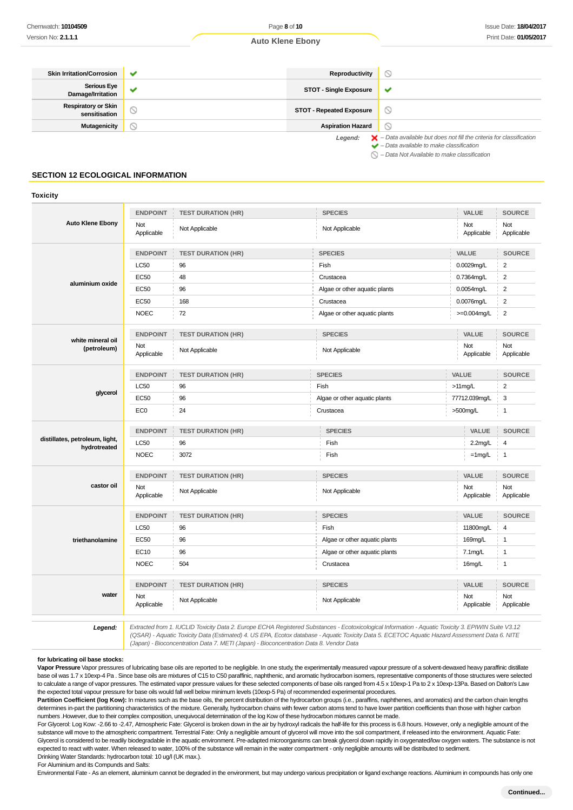| <b>Skin Irritation/Corrosion</b>            | ✔                     | Reproductivity                  | $\circlearrowright$                                                                      |
|---------------------------------------------|-----------------------|---------------------------------|------------------------------------------------------------------------------------------|
| <b>Serious Eye</b><br>Damage/Irritation     |                       | <b>STOT - Single Exposure</b>   | v                                                                                        |
| <b>Respiratory or Skin</b><br>sensitisation | $\scriptstyle\oslash$ | <b>STOT - Repeated Exposure</b> | $\circ$                                                                                  |
| Mutagenicity                                | $\scriptstyle\sim$    | <b>Aspiration Hazard</b>        | $\circ$                                                                                  |
|                                             |                       | Legend:                         | $\blacktriangleright$ - Data available but does not fill the criteria for classification |

 $\blacktriangleright$  – Data available to make classification  $\bigcirc$  – Data Not Available to make classification

# **SECTION 12 ECOLOGICAL INFORMATION**

#### **Toxicity**

|                                                | <b>ENDPOINT</b>   | <b>TEST DURATION (HR)</b> | <b>SPECIES</b>                                     | <b>VALUE</b>      | <b>SOURCE</b>           |
|------------------------------------------------|-------------------|---------------------------|----------------------------------------------------|-------------------|-------------------------|
| <b>Auto Klene Ebony</b>                        | Not<br>Applicable | Not Applicable            | Not Applicable                                     | Not<br>Applicable | Not<br>Applicable       |
|                                                | <b>ENDPOINT</b>   | <b>TEST DURATION (HR)</b> | <b>SPECIES</b>                                     | VALUE             | <b>SOURCE</b>           |
|                                                | LC50              | 96                        | Fish                                               | 0.0029mg/L        | $\overline{\mathbf{c}}$ |
|                                                | <b>EC50</b>       | 48                        | Crustacea                                          | 0.7364mg/L        | $\overline{\mathbf{c}}$ |
| aluminium oxide                                | EC50              | 96                        | Algae or other aquatic plants                      | 0.0054mg/L        | $\overline{\mathbf{c}}$ |
|                                                | <b>EC50</b>       | 168                       | Crustacea                                          | 0.0076mg/L        | $\overline{2}$          |
|                                                | <b>NOEC</b>       | 72                        | Algae or other aquatic plants                      | >=0.004mg/L       | $\overline{2}$          |
|                                                | <b>ENDPOINT</b>   | <b>TEST DURATION (HR)</b> | <b>SPECIES</b>                                     | <b>VALUE</b>      | <b>SOURCE</b>           |
| white mineral oil<br>(petroleum)               | Not<br>Applicable | Not Applicable            | Not Applicable                                     | Not<br>Applicable | Not<br>Applicable       |
|                                                | <b>ENDPOINT</b>   | <b>TEST DURATION (HR)</b> | <b>SPECIES</b>                                     | VALUE             | <b>SOURCE</b>           |
|                                                | LC50              | 96                        | Fish                                               | >11mg/L           | $\overline{2}$          |
| glycerol                                       | <b>EC50</b>       | 96                        | Algae or other aquatic plants                      | 77712.039mg/L     | 3                       |
|                                                | EC <sub>0</sub>   | 24                        | Crustacea                                          | $>500$ mg/L       | $\mathbf{1}$            |
|                                                | <b>ENDPOINT</b>   | <b>TEST DURATION (HR)</b> | <b>SPECIES</b>                                     | VALUE             | <b>SOURCE</b>           |
| distillates, petroleum, light,<br>hydrotreated | LC50              | 96                        | Fish                                               | $2.2$ mg/L        | $\overline{4}$          |
|                                                | <b>NOEC</b>       | 3072                      | Fish                                               | $=1$ mg/L         | $\mathbf{1}$            |
|                                                | <b>ENDPOINT</b>   | <b>TEST DURATION (HR)</b> | <b>SPECIES</b>                                     | <b>VALUE</b>      | <b>SOURCE</b>           |
| castor oil                                     | Not<br>Applicable | Not Applicable            | Not Applicable                                     | Not<br>Applicable | Not<br>Applicable       |
|                                                | <b>ENDPOINT</b>   | <b>TEST DURATION (HR)</b> | <b>SPECIES</b>                                     | VALUE             | <b>SOURCE</b>           |
|                                                | LC50              | 96                        | Fish                                               | 11800mg/L         | 4                       |
| triethanolamine                                | EC50              | 96                        | Algae or other aquatic plants                      | 169mg/L           | $\mathbf{1}$            |
|                                                | EC10              | 96                        | Algae or other aquatic plants<br>$7.1 \text{mg/L}$ |                   | $\mathbf{1}$            |
|                                                | <b>NOEC</b>       | 504                       | Crustacea                                          | 16mg/L            | $\mathbf{1}$            |
|                                                | <b>ENDPOINT</b>   | <b>TEST DURATION (HR)</b> | <b>SPECIES</b>                                     | <b>VALUE</b>      | <b>SOURCE</b>           |
| water                                          | Not<br>Applicable | Not Applicable            | Not Applicable                                     | Not<br>Applicable | Not<br>Applicable       |

**Legend:** Extracted from 1. IUCLID Toxicity Data 2. Europe ECHA Registered Substances - Ecotoxicological Information - Aquatic Toxicity 3. EPIWIN Suite V3.12 (QSAR) - Aquatic Toxicity Data (Estimated) 4. US EPA, Ecotox database - Aquatic Toxicity Data 5. ECETOC Aquatic Hazard Assessment Data 6. NITE (Japan) - Bioconcentration Data 7. METI (Japan) - Bioconcentration Data 8. Vendor Data

#### **for lubricating oil base stocks:**

**Vapor Pressure** Vapor pressures of lubricating base oils are reported to be negligible. In one study, the experimentally measured vapour pressure of a solvent-dewaxed heavy paraffinic distillate base oil was 1.7 x 10exp-4 Pa . Since base oils are mixtures of C15 to C50 paraffinic, naphthenic, and aromatic hydrocarbon isomers, representative components of those structures were selected to calculate a range of vapor pressures. The estimated vapor pressure values for these selected components of base oils ranged from 4.5 x 10exp-1 Pa to 2 x 10exp-13Pa. Based on Dalton's Law the expected total vapour pressure for base oils would fall well below minimum levels (10exp-5 Pa) of recommended experimental procedures.

Partition Coefficient (log Kow): In mixtures such as the base oils, the percent distribution of the hydrocarbon groups (i.e., paraffins, naphthenes, and aromatics) and the carbon chain lengths determines in-part the partitioning characteristics of the mixture. Generally, hydrocarbon chains with fewer carbon atoms tend to have lower partition coefficients than those with higher carbon numbers .However, due to their complex composition, unequivocal determination of the log Kow of these hydrocarbon mixtures cannot be made.

For Glycerol: Log Kow: -2.66 to -2.47, Atmospheric Fate: Glycerol is broken down in the air by hydroxyl radicals the half-life for this process is 6.8 hours. However, only a negligible amount of the substance will move to the atmospheric compartment. Terrestrial Fate: Only a negligible amount of glycerol will move into the soil compartment, if released into the environment. Aquatic Fate: Glycerol is considered to be readily biodegradable in the aquatic environment. Pre-adapted microorganisms can break glycerol down rapidly in oxygenated/low oxygen waters. The substance is not expected to react with water. When released to water, 100% of the substance will remain in the water compartment - only negligible amounts will be distributed to sediment. Drinking Water Standards: hydrocarbon total: 10 ug/l (UK max.).

For Aluminium and its Compunds and Salts:

Environmental Fate - As an element, aluminium cannot be degraded in the environment, but may undergo various precipitation or ligand exchange reactions. Aluminium in compounds has only one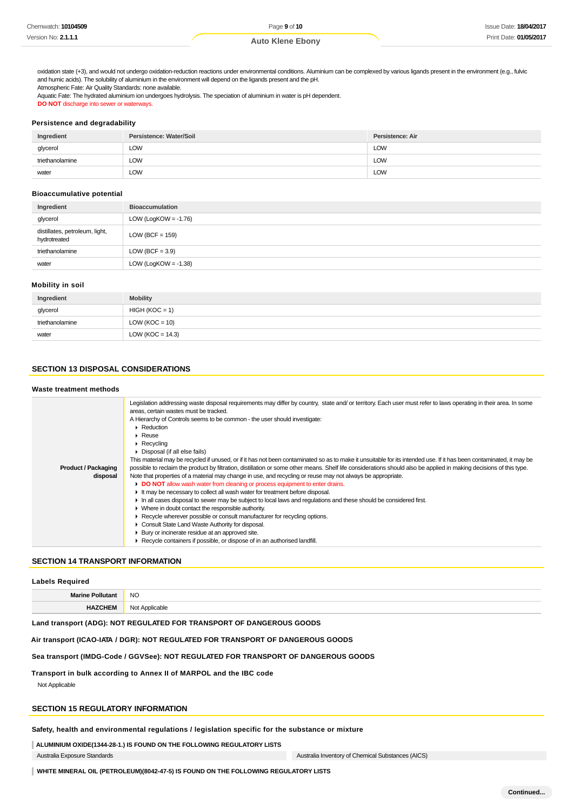oxidation state (+3), and would not undergo oxidation-reduction reactions under environmental conditions. Aluminium can be complexed by various ligands present in the environment (e.g., fulvic and humic acids). The solubility of aluminium in the environment will depend on the ligands present and the pH.

Atmospheric Fate: Air Quality Standards: none available.

Aquatic Fate: The hydrated aluminium ion undergoes hydrolysis. The speciation of aluminium in water is pH dependent.

**DO NOT** discharge into sewer or waterways.

# **Persistence and degradability**

| Ingredient      | Persistence: Water/Soil | Persistence: Air |
|-----------------|-------------------------|------------------|
| glycerol        | LOW                     | <b>LOW</b>       |
| triethanolamine | LOW                     | <b>LOW</b>       |
| water           | LOW                     | <b>LOW</b>       |

# **Bioaccumulative potential**

| Ingredient                                     | <b>Bioaccumulation</b>  |
|------------------------------------------------|-------------------------|
| glycerol                                       | LOW (LogKOW = $-1.76$ ) |
| distillates, petroleum, light,<br>hydrotreated | $LOW (BCF = 159)$       |
| triethanolamine                                | LOW (BCF = $3.9$ )      |
| water                                          | LOW (LogKOW = $-1.38$ ) |

#### **Mobility in soil**

| Ingredient      | <b>Mobility</b>      |
|-----------------|----------------------|
| glycerol        | $HIGH (KOC = 1)$     |
| triethanolamine | $LOW (KOC = 10)$     |
| water           | LOW ( $KOC = 14.3$ ) |

# **SECTION 13 DISPOSAL CONSIDERATIONS**

#### **Waste treatment methods**

|                            | Legislation addressing waste disposal requirements may differ by country, state and/ or territory. Each user must refer to laws operating in their area. In some<br>areas, certain wastes must be tracked.<br>A Hierarchy of Controls seems to be common - the user should investigate:<br>$\blacktriangleright$ Reduction<br>$\blacktriangleright$ Reuse<br>$\triangleright$ Recycling<br>▶ Disposal (if all else fails)<br>This material may be recycled if unused, or if it has not been contaminated so as to make it unsuitable for its intended use. If it has been contaminated, it may be |
|----------------------------|---------------------------------------------------------------------------------------------------------------------------------------------------------------------------------------------------------------------------------------------------------------------------------------------------------------------------------------------------------------------------------------------------------------------------------------------------------------------------------------------------------------------------------------------------------------------------------------------------|
| <b>Product / Packaging</b> | possible to reclaim the product by filtration, distillation or some other means. Shelf life considerations should also be applied in making decisions of this type.                                                                                                                                                                                                                                                                                                                                                                                                                               |
| disposal                   | Note that properties of a material may change in use, and recycling or reuse may not always be appropriate.                                                                                                                                                                                                                                                                                                                                                                                                                                                                                       |
|                            | DO NOT allow wash water from cleaning or process equipment to enter drains.                                                                                                                                                                                                                                                                                                                                                                                                                                                                                                                       |
|                            | If the may be necessary to collect all wash water for treatment before disposal.                                                                                                                                                                                                                                                                                                                                                                                                                                                                                                                  |
|                            | In all cases disposal to sewer may be subject to local laws and regulations and these should be considered first.                                                                                                                                                                                                                                                                                                                                                                                                                                                                                 |
|                            | • Where in doubt contact the responsible authority.                                                                                                                                                                                                                                                                                                                                                                                                                                                                                                                                               |
|                            | ► Recycle wherever possible or consult manufacturer for recycling options.                                                                                                                                                                                                                                                                                                                                                                                                                                                                                                                        |
|                            | Consult State Land Waste Authority for disposal.                                                                                                                                                                                                                                                                                                                                                                                                                                                                                                                                                  |
|                            | ▶ Bury or incinerate residue at an approved site.                                                                                                                                                                                                                                                                                                                                                                                                                                                                                                                                                 |
|                            | ▶ Recycle containers if possible, or dispose of in an authorised landfill.                                                                                                                                                                                                                                                                                                                                                                                                                                                                                                                        |

# **SECTION 14 TRANSPORT INFORMATION**

| <b>Labels Required</b>  |                |  |
|-------------------------|----------------|--|
| <b>Marine Pollutant</b> | <b>NO</b>      |  |
| <b>HAZCHEM</b>          | Not Applicable |  |

#### **Land transport (ADG): NOT REGULATED FOR TRANSPORT OF DANGEROUS GOODS**

# **Air transport (ICAO-IATA / DGR): NOT REGULATED FOR TRANSPORT OF DANGEROUS GOODS**

# **Sea transport (IMDG-Code / GGVSee): NOT REGULATED FOR TRANSPORT OF DANGEROUS GOODS**

# **Transport in bulk according to Annex II of MARPOL and the IBC code**

Not Applicable

# **SECTION 15 REGULATORY INFORMATION**

# **Safety, health and environmental regulations / legislation specific for the substance or mixture**

**ALUMINIUM OXIDE(1344-28-1.) IS FOUND ON THE FOLLOWING REGULATORY LISTS** Australia Exposure Standards Australia Inventory of Chemical Substances (AICS)

**WHITE MINERAL OIL (PETROLEUM)(8042-47-5) IS FOUND ON THE FOLLOWING REGULATORY LISTS**

**Continued...**